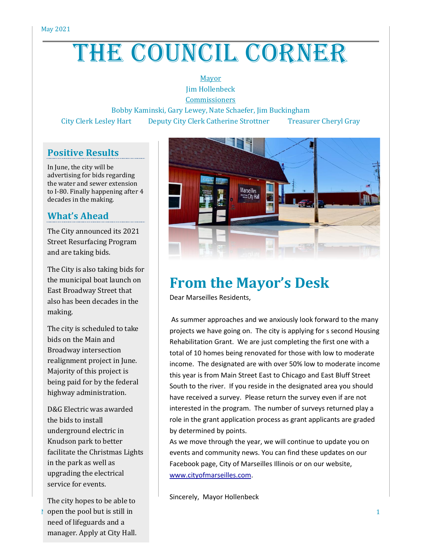# THE COUNCIL CORNER

#### Mayor Jim Hollenbeck

**Commissioners** 

Bobby Kaminski, Gary Lewey, Nate Schaefer, Jim Buckingham City Clerk Lesley Hart Deputy City Clerk Catherine Strottner Treasurer Cheryl Gray

### **Positive Results**

In June, the city will be advertising for bids regarding the water and sewer extension to I-80. Finally happening after 4 decades in the making.

### **What's Ahead**

The City announced its 2021 Street Resurfacing Program and are taking bids.

The City is also taking bids for the municipal boat launch on East Broadway Street that also has been decades in the making.

The city is scheduled to take bids on the Main and Broadway intersection realignment project in June. Majority of this project is being paid for by the federal highway administration.

D&G Electric was awarded the bids to install underground electric in Knudson park to better facilitate the Christmas Lights in the park as well as upgrading the electrical service for events.

**OPER 1** a still in the pool but is still in The city hopes to be able to need of lifeguards and a manager. Apply at City Hall.



## **From the Mayor's Desk**

Dear Marseilles Residents,

As summer approaches and we anxiously look forward to the many projects we have going on. The city is applying for s second Housing Rehabilitation Grant. We are just completing the first one with a total of 10 homes being renovated for those with low to moderate income. The designated are with over 50% low to moderate income this year is from Main Street East to Chicago and East Bluff Street South to the river. If you reside in the designated area you should have received a survey. Please return the survey even if are not interested in the program. The number of surveys returned play a role in the grant application process as grant applicants are graded by determined by points.

As we move through the year, we will continue to update you on events and community news. You can find these updates on our Facebook page, City of Marseilles Illinois or on our website, [www.cityofmarseilles.com.](http://www.cityofmarseilles.com/)

Sincerely, Mayor Hollenbeck